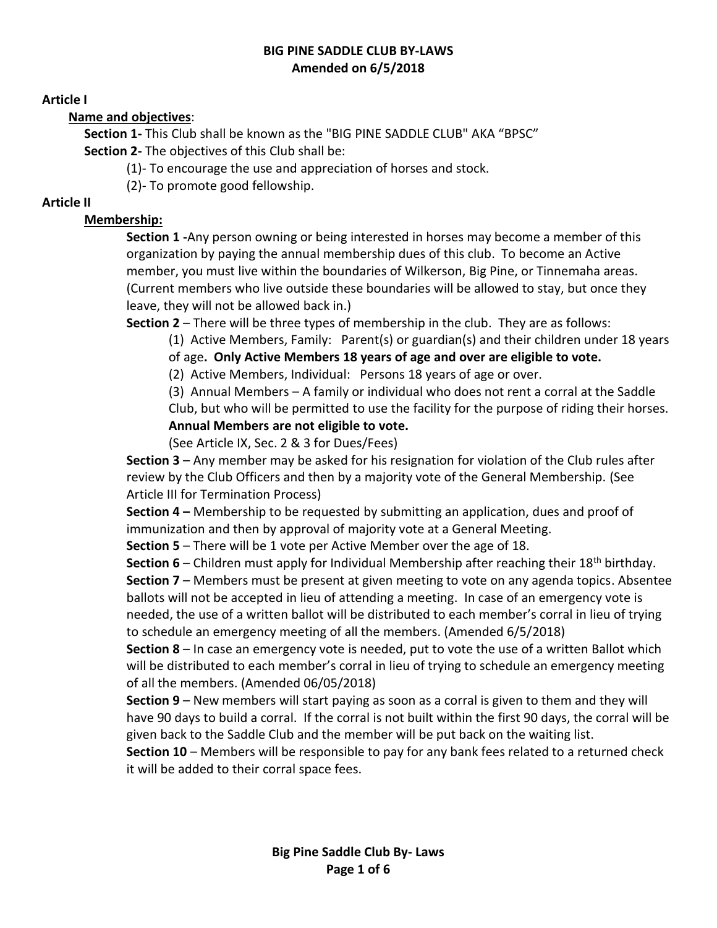#### **BIG PINE SADDLE CLUB BY-LAWS Amended on 6/5/2018**

#### **Article I**

#### **Name and objectives**:

**Section 1-** This Club shall be known as the "BIG PINE SADDLE CLUB" AKA "BPSC" **Section 2-** The objectives of this Club shall be:

(1)- To encourage the use and appreciation of horses and stock.

(2)- To promote good fellowship.

#### **Article II**

# **Membership:**

**Section 1 -**Any person owning or being interested in horses may become a member of this organization by paying the annual membership dues of this club. To become an Active member, you must live within the boundaries of Wilkerson, Big Pine, or Tinnemaha areas. (Current members who live outside these boundaries will be allowed to stay, but once they leave, they will not be allowed back in.)

**Section 2** – There will be three types of membership in the club. They are as follows:

(1) Active Members, Family: Parent(s) or guardian(s) and their children under 18 years of age**. Only Active Members 18 years of age and over are eligible to vote.**

(2) Active Members, Individual: Persons 18 years of age or over.

(3) Annual Members – A family or individual who does not rent a corral at the Saddle Club, but who will be permitted to use the facility for the purpose of riding their horses. **Annual Members are not eligible to vote.**

(See Article IX, Sec. 2 & 3 for Dues/Fees)

**Section 3** – Any member may be asked for his resignation for violation of the Club rules after review by the Club Officers and then by a majority vote of the General Membership. (See Article III for Termination Process)

**Section 4 –** Membership to be requested by submitting an application, dues and proof of immunization and then by approval of majority vote at a General Meeting.

**Section 5** – There will be 1 vote per Active Member over the age of 18.

**Section 6** – Children must apply for Individual Membership after reaching their 18th birthday. **Section 7** – Members must be present at given meeting to vote on any agenda topics. Absentee ballots will not be accepted in lieu of attending a meeting. In case of an emergency vote is needed, the use of a written ballot will be distributed to each member's corral in lieu of trying to schedule an emergency meeting of all the members. (Amended 6/5/2018)

**Section 8** – In case an emergency vote is needed, put to vote the use of a written Ballot which will be distributed to each member's corral in lieu of trying to schedule an emergency meeting of all the members. (Amended 06/05/2018)

**Section 9** – New members will start paying as soon as a corral is given to them and they will have 90 days to build a corral. If the corral is not built within the first 90 days, the corral will be given back to the Saddle Club and the member will be put back on the waiting list.

**Section 10** – Members will be responsible to pay for any bank fees related to a returned check it will be added to their corral space fees.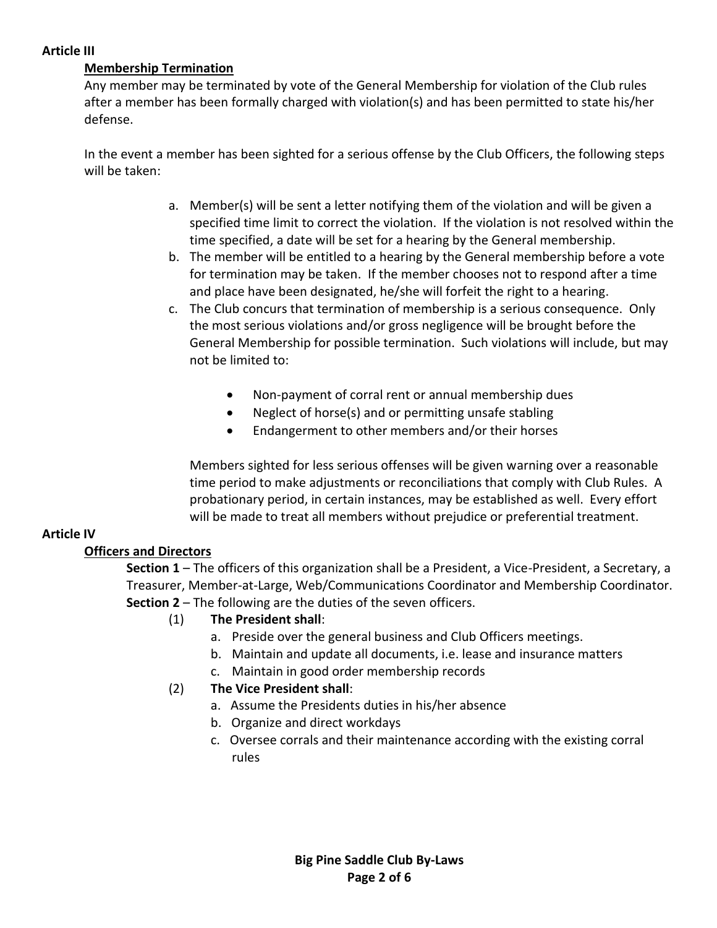#### **Article III**

### **Membership Termination**

Any member may be terminated by vote of the General Membership for violation of the Club rules after a member has been formally charged with violation(s) and has been permitted to state his/her defense.

In the event a member has been sighted for a serious offense by the Club Officers, the following steps will be taken:

- a. Member(s) will be sent a letter notifying them of the violation and will be given a specified time limit to correct the violation. If the violation is not resolved within the time specified, a date will be set for a hearing by the General membership.
- b. The member will be entitled to a hearing by the General membership before a vote for termination may be taken. If the member chooses not to respond after a time and place have been designated, he/she will forfeit the right to a hearing.
- c. The Club concurs that termination of membership is a serious consequence. Only the most serious violations and/or gross negligence will be brought before the General Membership for possible termination. Such violations will include, but may not be limited to:
	- Non-payment of corral rent or annual membership dues
	- Neglect of horse(s) and or permitting unsafe stabling
	- Endangerment to other members and/or their horses

Members sighted for less serious offenses will be given warning over a reasonable time period to make adjustments or reconciliations that comply with Club Rules. A probationary period, in certain instances, may be established as well. Every effort will be made to treat all members without prejudice or preferential treatment.

# **Article IV**

# **Officers and Directors**

**Section 1** – The officers of this organization shall be a President, a Vice-President, a Secretary, a Treasurer, Member-at-Large, Web/Communications Coordinator and Membership Coordinator. **Section 2** – The following are the duties of the seven officers.

# (1) **The President shall**:

- a. Preside over the general business and Club Officers meetings.
- b. Maintain and update all documents, i.e. lease and insurance matters
- c. Maintain in good order membership records
- (2) **The Vice President shall**:
	- a. Assume the Presidents duties in his/her absence
	- b. Organize and direct workdays
	- c. Oversee corrals and their maintenance according with the existing corral rules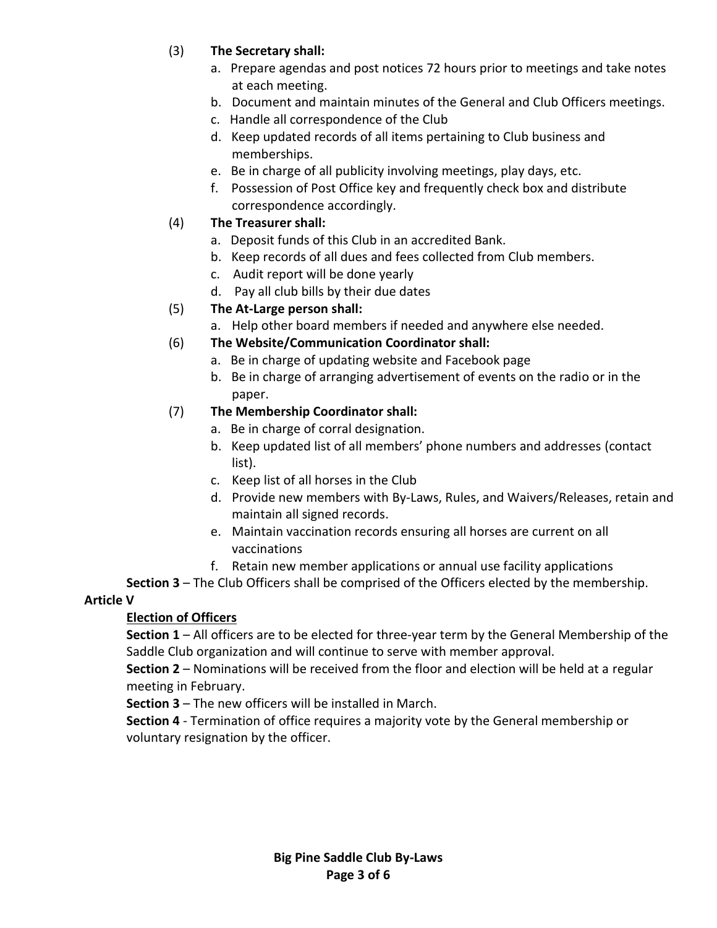# (3) **The Secretary shall:**

- a. Prepare agendas and post notices 72 hours prior to meetings and take notes at each meeting.
- b. Document and maintain minutes of the General and Club Officers meetings.
- c. Handle all correspondence of the Club
- d. Keep updated records of all items pertaining to Club business and memberships.
- e. Be in charge of all publicity involving meetings, play days, etc.
- f. Possession of Post Office key and frequently check box and distribute correspondence accordingly.

### (4) **The Treasurer shall:**

- a. Deposit funds of this Club in an accredited Bank.
- b. Keep records of all dues and fees collected from Club members.
- c. Audit report will be done yearly
- d. Pay all club bills by their due dates

### (5) **The At-Large person shall:**

a. Help other board members if needed and anywhere else needed.

### (6) **The Website/Communication Coordinator shall:**

- a. Be in charge of updating website and Facebook page
- b. Be in charge of arranging advertisement of events on the radio or in the paper.

### (7) **The Membership Coordinator shall:**

- a. Be in charge of corral designation.
- b. Keep updated list of all members' phone numbers and addresses (contact list).
- c. Keep list of all horses in the Club
- d. Provide new members with By-Laws, Rules, and Waivers/Releases, retain and maintain all signed records.
- e. Maintain vaccination records ensuring all horses are current on all vaccinations
- f. Retain new member applications or annual use facility applications

**Section 3** – The Club Officers shall be comprised of the Officers elected by the membership.

#### **Article V**

# **Election of Officers**

**Section 1** – All officers are to be elected for three-year term by the General Membership of the Saddle Club organization and will continue to serve with member approval.

**Section 2** – Nominations will be received from the floor and election will be held at a regular meeting in February.

**Section 3** – The new officers will be installed in March.

**Section 4** - Termination of office requires a majority vote by the General membership or voluntary resignation by the officer.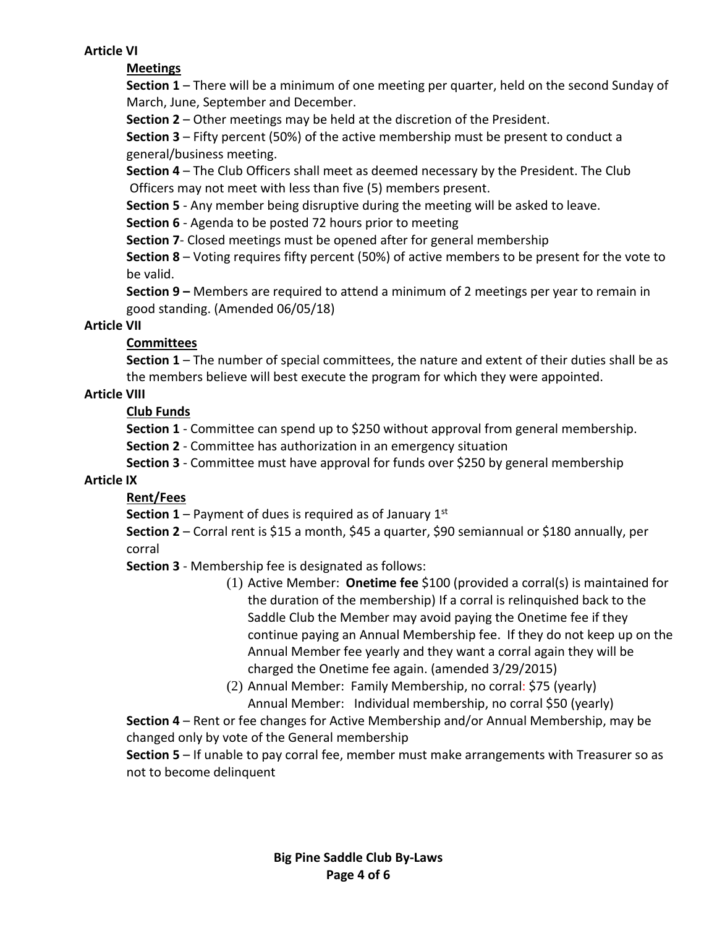#### **Article VI**

### **Meetings**

**Section 1** – There will be a minimum of one meeting per quarter, held on the second Sunday of March, June, September and December.

**Section 2** – Other meetings may be held at the discretion of the President.

**Section 3** – Fifty percent (50%) of the active membership must be present to conduct a general/business meeting.

**Section 4** – The Club Officers shall meet as deemed necessary by the President. The Club Officers may not meet with less than five (5) members present.

**Section 5** - Any member being disruptive during the meeting will be asked to leave.

**Section 6** - Agenda to be posted 72 hours prior to meeting

**Section 7**- Closed meetings must be opened after for general membership

**Section 8** – Voting requires fifty percent (50%) of active members to be present for the vote to be valid.

**Section 9 –** Members are required to attend a minimum of 2 meetings per year to remain in good standing. (Amended 06/05/18)

### **Article VII**

# **Committees**

**Section 1** – The number of special committees, the nature and extent of their duties shall be as the members believe will best execute the program for which they were appointed.

### **Article VIII**

### **Club Funds**

**Section 1** - Committee can spend up to \$250 without approval from general membership.

**Section 2** - Committee has authorization in an emergency situation

**Section 3** - Committee must have approval for funds over \$250 by general membership

#### **Article IX**

# **Rent/Fees**

**Section 1** – Payment of dues is required as of January  $1<sup>st</sup>$ 

**Section 2** – Corral rent is \$15 a month, \$45 a quarter, \$90 semiannual or \$180 annually, per corral

**Section 3** - Membership fee is designated as follows:

- (1) Active Member: **Onetime fee** \$100 (provided a corral(s) is maintained for the duration of the membership) If a corral is relinquished back to the Saddle Club the Member may avoid paying the Onetime fee if they continue paying an Annual Membership fee. If they do not keep up on the Annual Member fee yearly and they want a corral again they will be charged the Onetime fee again. (amended 3/29/2015)
- (2) Annual Member: Family Membership, no corral: \$75 (yearly) Annual Member: Individual membership, no corral \$50 (yearly)

**Section 4** – Rent or fee changes for Active Membership and/or Annual Membership, may be changed only by vote of the General membership

**Section 5** – If unable to pay corral fee, member must make arrangements with Treasurer so as not to become delinquent

> **Big Pine Saddle Club By-Laws Page 4 of 6**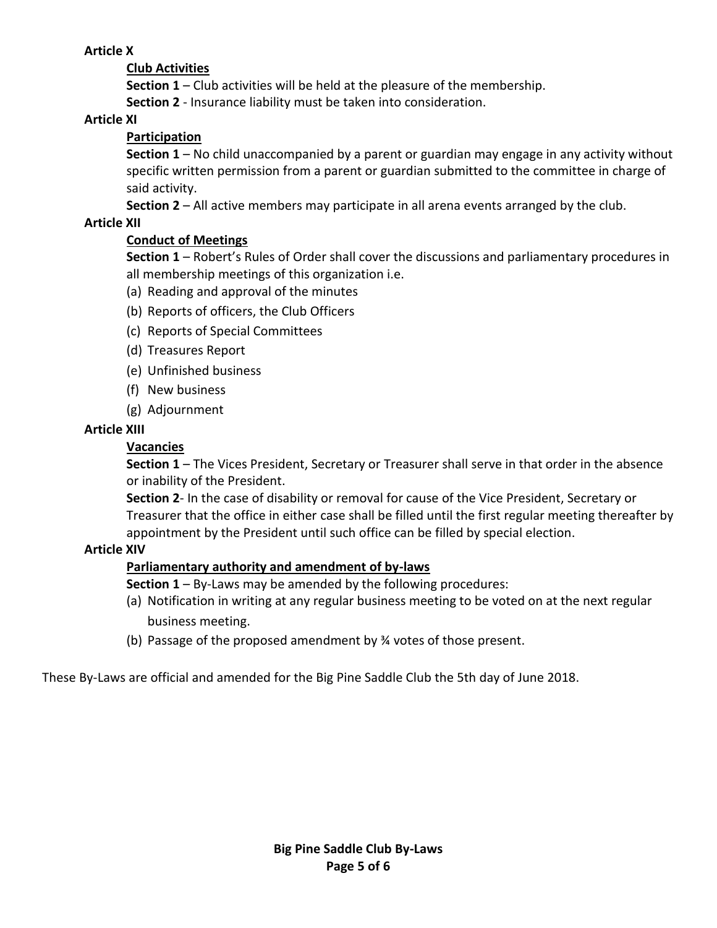### **Article X**

### **Club Activities**

**Section 1** – Club activities will be held at the pleasure of the membership.

**Section 2** - Insurance liability must be taken into consideration.

#### **Article XI**

### **Participation**

**Section 1** – No child unaccompanied by a parent or guardian may engage in any activity without specific written permission from a parent or guardian submitted to the committee in charge of said activity.

**Section 2** – All active members may participate in all arena events arranged by the club.

### **Article XII**

# **Conduct of Meetings**

**Section 1** – Robert's Rules of Order shall cover the discussions and parliamentary procedures in all membership meetings of this organization i.e.

- (a) Reading and approval of the minutes
- (b) Reports of officers, the Club Officers
- (c) Reports of Special Committees
- (d) Treasures Report
- (e) Unfinished business
- (f) New business
- (g) Adjournment

### **Article XIII**

### **Vacancies**

**Section 1** – The Vices President, Secretary or Treasurer shall serve in that order in the absence or inability of the President.

**Section 2**- In the case of disability or removal for cause of the Vice President, Secretary or Treasurer that the office in either case shall be filled until the first regular meeting thereafter by appointment by the President until such office can be filled by special election.

# **Article XIV**

# **Parliamentary authority and amendment of by-laws**

**Section 1** – By-Laws may be amended by the following procedures:

- (a) Notification in writing at any regular business meeting to be voted on at the next regular business meeting.
- (b) Passage of the proposed amendment by ¾ votes of those present.

These By-Laws are official and amended for the Big Pine Saddle Club the 5th day of June 2018.